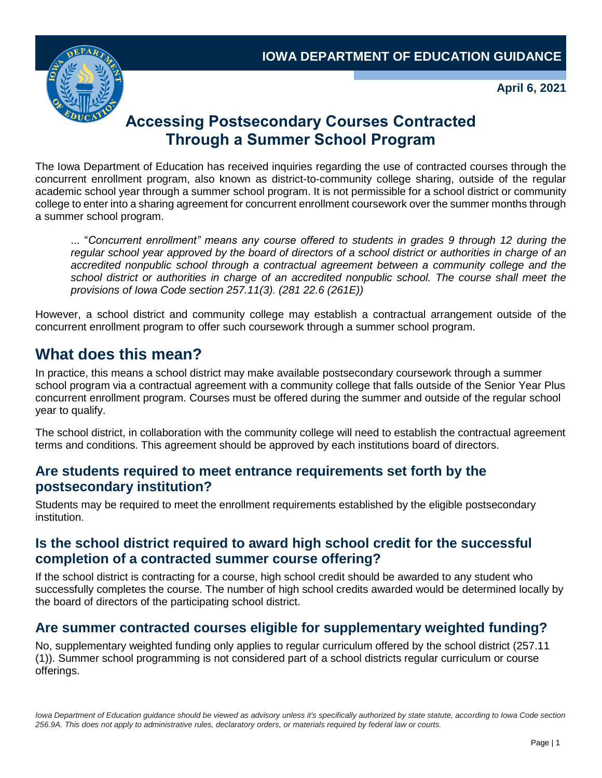

**April 6, 2021**

# **Accessing Postsecondary Courses Contracted Through a Summer School Program**

The Iowa Department of Education has received inquiries regarding the use of contracted courses through the concurrent enrollment program, also known as district-to-community college sharing, outside of the regular academic school year through a summer school program. It is not permissible for a school district or community college to enter into a sharing agreement for concurrent enrollment coursework over the summer months through a summer school program.

... "*Concurrent enrollment" means any course offered to students in grades 9 through 12 during the regular school year approved by the board of directors of a school district or authorities in charge of an accredited nonpublic school through a contractual agreement between a community college and the school district or authorities in charge of an accredited nonpublic school. The course shall meet the provisions of Iowa Code section 257.11(3). (281 22.6 (261E))*

However, a school district and community college may establish a contractual arrangement outside of the concurrent enrollment program to offer such coursework through a summer school program.

# **What does this mean?**

In practice, this means a school district may make available postsecondary coursework through a summer school program via a contractual agreement with a community college that falls outside of the Senior Year Plus concurrent enrollment program. Courses must be offered during the summer and outside of the regular school year to qualify.

The school district, in collaboration with the community college will need to establish the contractual agreement terms and conditions. This agreement should be approved by each institutions board of directors.

### **Are students required to meet entrance requirements set forth by the postsecondary institution?**

Students may be required to meet the enrollment requirements established by the eligible postsecondary institution.

## **Is the school district required to award high school credit for the successful completion of a contracted summer course offering?**

If the school district is contracting for a course, high school credit should be awarded to any student who successfully completes the course. The number of high school credits awarded would be determined locally by the board of directors of the participating school district.

# **Are summer contracted courses eligible for supplementary weighted funding?**

No, supplementary weighted funding only applies to regular curriculum offered by the school district (257.11 (1)). Summer school programming is not considered part of a school districts regular curriculum or course offerings.

Iowa Department of Education guidance should be viewed as advisory unless it's specifically authorized by state statute, according to Iowa Code section *256.9A. This does not apply to administrative rules, declaratory orders, or materials required by federal law or courts.*